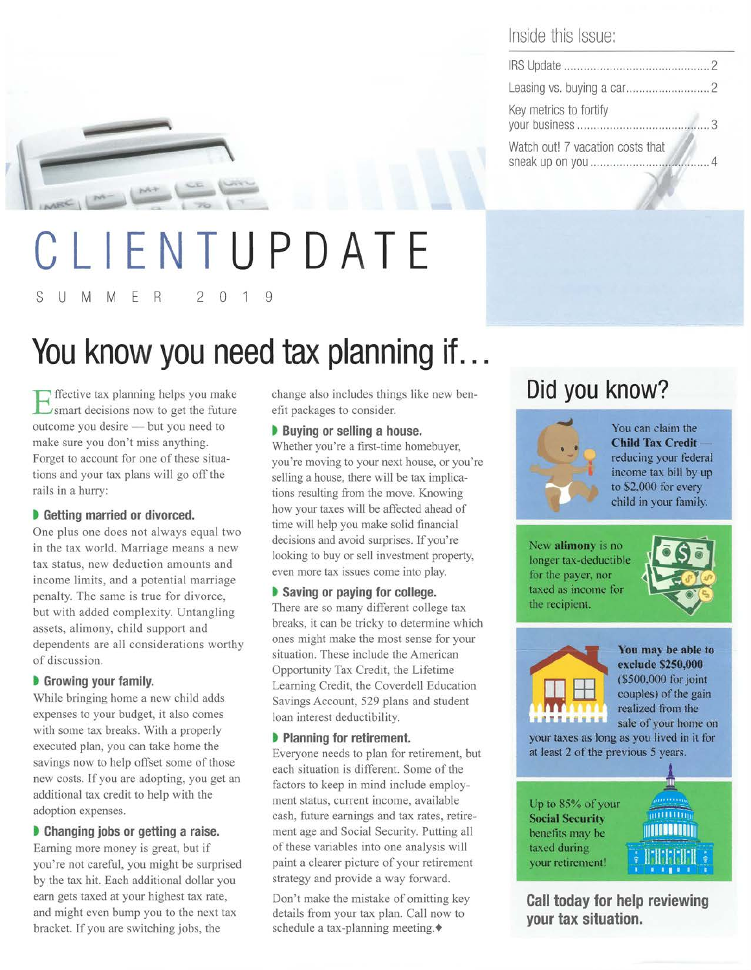

# **CLIENT UPD ATE**  S U M M E R 2 0 1 9

# **You know you need tax planning if .**..

Fifective tax planning helps you make smart decisions now to get the future outcome you desire - but you need to make sure you don't miss anything. Forget to account for one of these situations and your tax plans will go off the rails in a hurry:

### $\bullet$  **Getting married or divorced.**

One plus one does not always equal two in the tax world. Marriage means a new tax status, new deduction amounts and income limits, and a potential marriage penalty. The same is true for divorce, but with added complexity. Untangling assets, alimony, child support and dependents are all considerations worthy of discussion.

### **b** Growing your family.

While bringing home a new child adds expenses to your budget, it also comes with some tax breaks. With a properly executed plan, you can take home the savings now to help offset some of those new costs. If you are adopting, you get an additional tax credit to help with the adoption expenses.

**b** Changing jobs or getting a raise. Earning more money is great, but if you're not careful, you might be surprised by the tax hit. Each additional dollar you earn gets taxed at your highest tax rate, and might even bump you to the next tax bracket. If you are switching jobs, the

change also includes things like new benefit packages to consider.

### **b** Buying or selling a house.

Whether you're a first-time homebuyer, you're moving to your next house, or you're selling a house, there will be tax implications resulting from the move. Knowing how your taxes will be affected ahead of time will help you make solid financial decisions and avoid surprises. If you're looking to buy or sell investment property, even more tax issues come into play.

 $\bullet$  Saving or paying for college. There are so many different college tax breaks, it can be tricky to determine which ones might make the most sense for your situation. These include the American Opportunity Tax Credit, the Lifetime Learning Credit, the Coverdell Education Savings Account, 529 plans and student loan interest deductibility.

### $\triangleright$  **Planning for retirement.**

Everyone needs to plan for retirement, but each situation is different. Some of the factors to keep in mind include employment status, current income, available cash, future earnings and tax rates, retirement age and Social Security. Putting all of these variables into one analysis will paint a clearer picture of your retirement strategy and provide a way forward.

Don't make the mistake of omitting key details from your tax plan. Call now to schedule a tax-planning meeting. $\blacklozenge$ 

## Inside this Issue:

| Key metrics to fortify           |  |
|----------------------------------|--|
| Watch out! 7 vacation costs that |  |

# **Did you know?**



**You can claim the Child Tax Creditredooing your federal income tax bill by up to \$2,000 for every child in your family.** 

New **alimony** is no **longer tax-deductible for the payer, nor**  taxed as income for **the recipient.** 





**Yoa may be able to ndude \$150.,000 (\$500,000 for joint couples)** of the gain **realized** from the sale of your home on

**your taxes as long as you lived in it for at least 2 of the previous 5 years.** 

**Up to 85% of your Sodal Security benefits may be taxed during your retirement!** 



**Call today for help reviewing your tax situation.**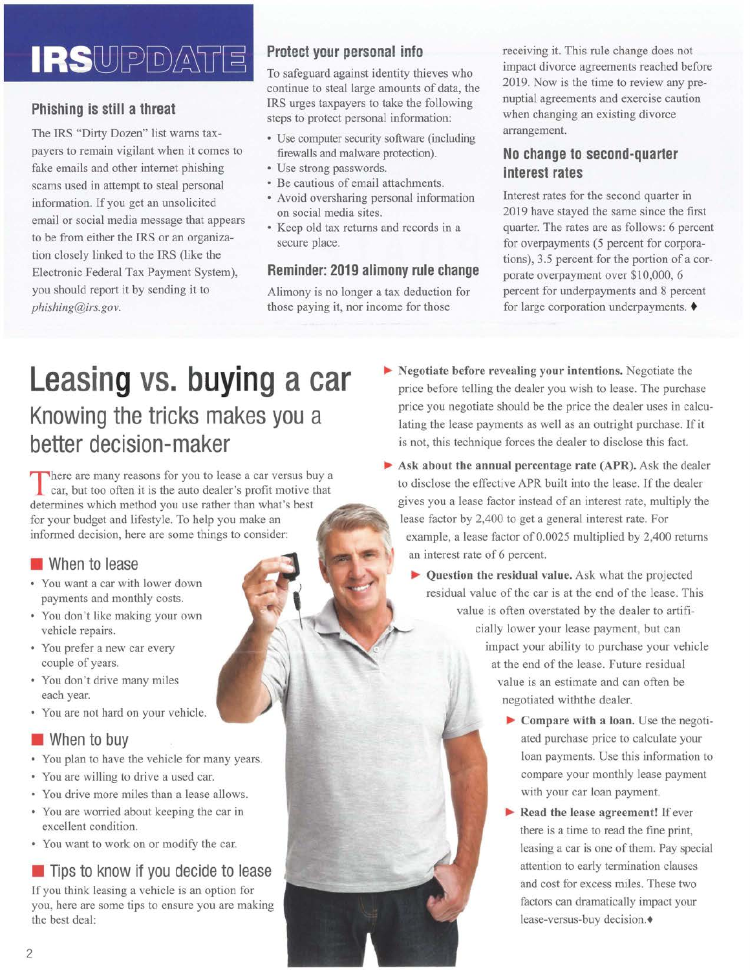# **IRS**UPDATE

## **Phishing is still a threat**

The IRS "Dirty Dozen" list warns taxpayers to remain vigilant when it comes to fake emails and other internet phishing scams used in attempt to steal personal information. If you get an unsolicited email or social media message that appears to be from either the IRS or an organization closely linked to the IRS (like the Electronic Federal Tax Payment System), you should report it by sending it to *phishing@irs.gov.* 

## **Protect your personal info**

To safeguard against identity thieves who continue to steal large amounts of data, the IRS urges taxpayers to take the following steps to protect personal information:

- Use computer security software (including firewalls and malware protection).
- Use strong passwords.
- Be cautious of email attachments.
- Avoid oversharing personal information on social media sites.
- Keep old tax returns and records in a secure place.

### **Reminder: 2019 alimony rule change**

Alimony is no longer a tax deduction for those paying it, nor income for those

receiving it. This rule change does not impact divorce agreements reached before 2019. Now is the time to review any prenuptial agreements and exercise caution when changing an existing divorce arrangement.

## **No change to second-quarter interest rates**

Interest rates for the second quarter in 2019 have stayed the same since the first quarter. The rates are as follows: 6 percent for overpayments (5 percent for corporations), 3.5 percent for the portion of a corporate overpayment over \$10,000, 6 percent for underpayments and 8 percent for large corporation underpayments.  $\blacklozenge$ 

# **Leasing vs. buying a car Knowing the tricks makes you a better decision-maker**

There are many reasons for you to lease a car versus buy a car, but too often it is the auto dealer's profit motive that determines which method you use rather than what's best for your budget and lifestyle. To help you make an informed decision, here are some things to consider:

### **When to lease**

- You want a car with lower down payments and monthly costs.
- You don't like making your own vehicle repairs.
- You prefer a new car every couple of years.
- You don't drive many miles each year.
- You are not hard on your vehicle.

# $\blacksquare$  When to buy

- You plan to have the vehicle for many years.
- You are willing to drive a used car.
- You drive more miles than a lease allows.
- You are worried about keeping the car in excellent condition.
- You want to work on or modify the car.

# $\blacksquare$  Tips to know if you decide to lease

If you think leasing a vehicle is an option for you, here are some tips to ensure you are making the best deal:

- $\blacktriangleright$  Negotiate before revealing your intentions. Negotiate the price before telling the dealer you wish to lease. The purchase price you negotiate should be the price the dealer uses in calculating the lease payments as well as an outright purchase. If it is not, this technique forces the dealer to disclose this fact.
- ~ Ask about the annual percentage rate (APR). Ask the dealer to disclose the effective APR built into the lease. If the dealer gives you a lease factor instead of an interest rate, multiply the lease factor by 2,400 to get a general interest rate. For example, a lease factor of 0.0025 multiplied by 2,400 returns an interest rate of 6 percent.
	- ~ Question the residual value. Ask what the projected residual value of the car is at the end of the lease. This value is often overstated by the dealer to artificially lower your lease payment, but can impact your ability to purchase your vehicle at the end of the lease. Future residual value is an estimate and can often be negotiated withthe dealer.
		- ~ Compare with a loan. Use the negotiated purchase price to calculate your loan payments. Use this information to compare your monthly lease payment with your car loan payment.
		- $\blacktriangleright$  Read the lease agreement! If ever there is a time to read the fine print, leasing a car is one of them. Pay special attention to early termination clauses and cost for excess miles. These two factors can dramatically impact your lease-versus-buy decision.+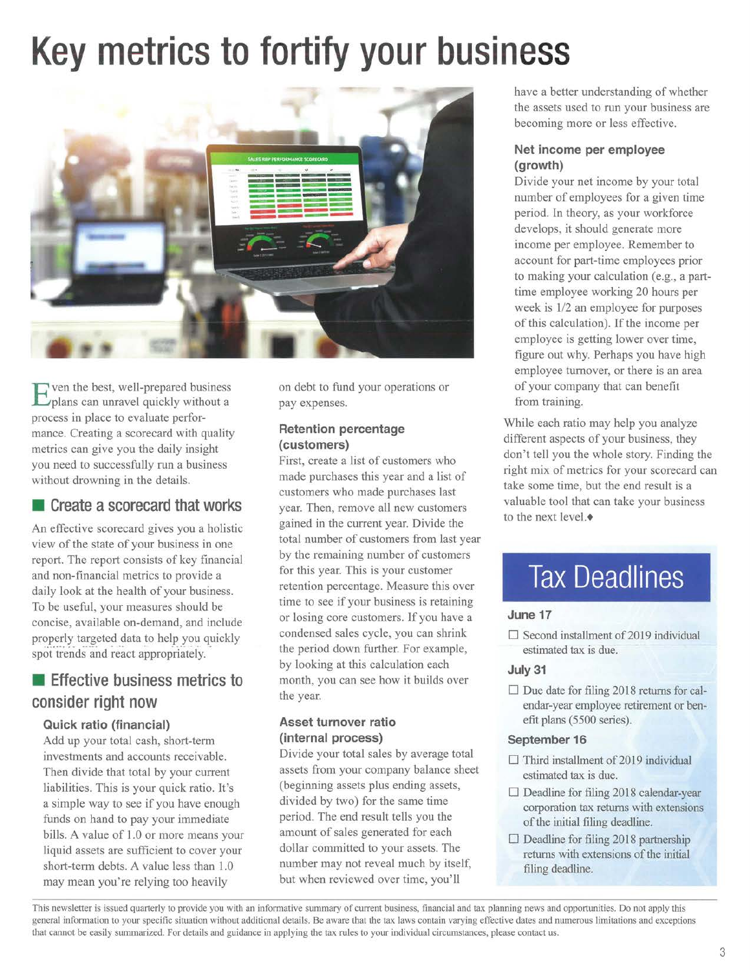# **Key metrics to fortify your business**



ven the best, well-prepared business plans can unravel quickly without a process in place to evaluate performance. Creating a scorecard with quality metrics can give you the daily insight you need to successfully run a business without drowning in the details.

### **Exercise Exercise 2 scorecard that works**

An effective scorecard gives you a holistic view of the state of your business in one report. The report consists of key financial and non-financial metrics to provide a daily look at the health of your business. To be useful, your measures should be concise, available on-demand, and include properly targeted data to help you quickly spot trends and react appropriately.

# **Effective business metrics to consider right now**

### **Quick ratio (financial)**

Add up your total cash, short-term investments and accounts receivable. Then divide that total by your current liabilities. This is your quick ratio. It's a simple way to see if you have enough funds on hand to pay your immediate bills. A value of 1.0 or more means your liquid assets are sufficient to cover your short-term debts. A value less than 1.0 may mean you're relying too heavily

on debt to fund your operations or pay expenses.

#### **Retention percentage (customers)**

First, create a list of customers who made purchases this year and a list of customers who made purchases last year. Then, remove all new customers gained in the current year. Divide the total number of customers from last year by the remaining number of customers for this year. This is your customer retention percentage. Measure this over time to see if your business is retaining or losing core customers. If you have a condensed sales cycle, you can shrink the period down further. For example, by looking at this calculation each month, you can see how it builds over the year.

### **Asset turnover ratio (internal process)**

Divide your total sales by average total assets from your company balance sheet (beginning assets plus ending assets, divided by two) for the same time period. The end result tells you the amount of sales generated for each dollar committed to your assets. The number may not reveal much by itself, but when reviewed over time, you'll

have a better understanding of whether the assets used to run your business are becoming more or less effective.

### **Net income per employee (growth)**

Divide your net income by your total number of employees for a given time period. In theory, as your workforce develops, it should generate more income per employee. Remember to account for part-time employees prior to making your calculation (e.g., a parttime employee working 20 hours per week is 1/2 an employee for purposes of this calculation). If the income per employee is getting lower over time, figure out why. Perhaps you have high employee turnover, or there is an area of your company that can benefit from training.

While each ratio may help you analyze different aspects of your business, they don't tell you the whole story. Finding the right mix of metrics for your scorecard can take some time, but the end result is a valuable tool that can take your business to the next level. $\bullet$ 

# **Tax Deadlines**

### **June 17**

 $\Box$  Second installment of 2019 individual estimated tax is due.

### **July31**

 $\Box$  Due date for filing 2018 returns for calendar-year employee retirement or benefit plans (5500 series).

#### **September 16**

- $\Box$  Third installment of 2019 individual estimated tax is due.
- $\Box$  Deadline for filing 2018 calendar-year corporation tax returns with extensions of the initial filing deadline.
- $\Box$  Deadline for filing 2018 partnership returns with extensions of the initial filing deadline.

This newsletter is issued quarterly to provide you with an informative summary of current business, fmancial and tax planning news and opportunities. Do not apply this general information to your specific situation without additional details. Be aware that the tax laws contain varying effective dates and numerous limitations and exceptions that cannot be easily summarized. For details and guidance in applying the tax rules to your individual circumstances, please contact us.